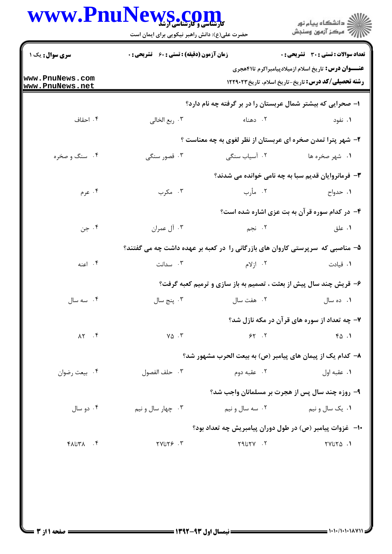## www.PnuNews.com

|                                    | www.PnuNews.com<br><b>کارشناسی و کارشناسی ارشد</b><br>حضرت علی(ع): دانش راهبر نیکویی برای ایمان است                         |                 | ڪ دانشڪاه پيا <sub>م</sub> نور<br>∕7 مرڪز آزمون وسنڊش                         |  |
|------------------------------------|-----------------------------------------------------------------------------------------------------------------------------|-----------------|-------------------------------------------------------------------------------|--|
| <b>سری سوال :</b> یک ۱             | <b>زمان آزمون (دقیقه) : تستی : 60 ٪ تشریحی : 0</b>                                                                          |                 | <b>تعداد سوالات : تستی : 30 ٪ تشریحی : 0</b>                                  |  |
| www.PnuNews.com<br>www.PnuNews.net | <b>عنــــوان درس:</b> تاریخ اسلام ازمیلادپیامبراکرم تا۴۱هجری<br><b>رشته تحصیلی/کد درس:</b> تاریخ-تاریخ اسلام، تاریخ ۱۲۲۹۰۲۳ |                 |                                                                               |  |
|                                    |                                                                                                                             |                 | ۱– صحرایی که بیشتر شمال عربستان را در بر گرفته چه نام دارد؟                   |  |
| ۰۴ احقاف                           | ۰۳ ربع الخالي                                                                                                               | ۰۲ دهناء        | ۰۱ نفود                                                                       |  |
|                                    |                                                                                                                             |                 | ۲- شهر پترا تمدن صخره ای عربستان از نظر لغوی به چه معناست ؟                   |  |
| ۰۴ سنگ و صخره                      | ۰۳ قصور سنگی                                                                                                                | ۰۲ آسیاب سنگی   | ۰۱ شهر صخره ها                                                                |  |
|                                    |                                                                                                                             |                 | ۳- فرمانروایان قدیم سبا به چه نامی خوانده می شدند؟                            |  |
| ۰۴ عرم                             | ۰۳ مگرب                                                                                                                     | ٢. مأرب         | ۰۱ حدواح                                                                      |  |
|                                    |                                                                                                                             |                 | ۴- در کدام سوره قرآن به بت عزی اشاره شده است؟                                 |  |
| ۰۴ جن                              | ۰۳ آل عمران                                                                                                                 | ۲. نجم          | ۰۱ علق                                                                        |  |
|                                    |                                                                                                                             |                 | ۵– مناصبی که سرپرستی کاروان های بازرگانی را در کعبه بر عهده داشت چه می گفتند؟ |  |
| ۰۴ اعنه                            | ۰۳ سدانت                                                                                                                    | ۰۲ ازلام        | ٠١. قيادت                                                                     |  |
|                                    |                                                                                                                             |                 | ۶- قریش چند سال پیش از بعثت ، تصمیم به باز سازی و ترمیم کعبه گرفت؟            |  |
| ۰۴ سه سال                          | ۰۳ پنج سال                                                                                                                  | ٠٢ هفت سال      | ۰۱ ده سال                                                                     |  |
|                                    |                                                                                                                             |                 | ۷- چه تعداد از سوره های قرآن در مکه نازل شد؟                                  |  |
| $\Lambda \Upsilon$ . $\Upsilon$    | $Y\Delta$ .                                                                                                                 | $55 - 5$        | 40.1                                                                          |  |
|                                    |                                                                                                                             |                 | ۸–  کدام یک از پیمان های پیامبر (ص) به بیعت الحرب مشهور شد؟                   |  |
| ۰۴ بيعت رضوان                      | ٠٣ حلف الفصول                                                                                                               | ۰۲ عقبه دوم     | ۰۱ عقبه اول                                                                   |  |
|                                    |                                                                                                                             |                 | ۹- روزه چند سال پس از هجرت بر مسلمانان واجب شد؟                               |  |
| ۰۴ دو سال                          | ۰۳ چهار سال و نیم                                                                                                           | ۰۲ سه سال و نیم | ۰۱ يک سال و نيم                                                               |  |
|                                    |                                                                                                                             |                 | ۱۰– غزوات پیامبر (ص) در طول دوران پیامبریش چه تعداد بود؟                      |  |
| $Y$ $Y$                            | $YVUY9$ . ٣                                                                                                                 | Y1UYY.          | ٠١. ٢٧ تا٢٧                                                                   |  |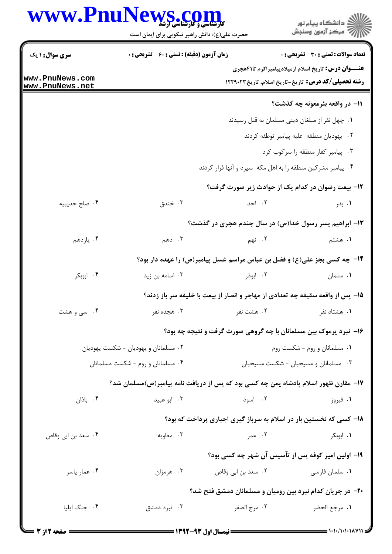## www.PnuNews.com

ے<br>کا اللہ کا استگاہ پیام نور<br>کا اللہ میکز آزمون وسنجش

حضرت علی(ع): دانش راهبر نیکویی برای ایمان است

| <b>سری سوال :</b> ۱ یک               |                                                             | <b>زمان آزمون (دقیقه) : تستی : 60 ٪ تشریحی : 0</b> |                              | <b>تعداد سوالات : تستی : 30 ٪ تشریحی : 0</b>                                        |  |
|--------------------------------------|-------------------------------------------------------------|----------------------------------------------------|------------------------------|-------------------------------------------------------------------------------------|--|
|                                      |                                                             |                                                    |                              | <b>عنـــوان درس:</b> تاریخ اسلام ازمیلادپیامبراکرم تا۴۱هجری                         |  |
| www.PnuNews.com<br>www.PnuNews.net   |                                                             |                                                    |                              | رشته تحصیلی/کد درس: تاریخ-تاریخ اسلام، تاریخ ۱۲۲۹۰۲۳                                |  |
|                                      |                                                             |                                                    |                              | 11– در واقعه بئرمعونه چه گذشت؟                                                      |  |
|                                      | ٠١. چهل نفر از مبلغان ديني مسلمان به قتل رسيدند             |                                                    |                              |                                                                                     |  |
|                                      | ٢. يهوديان منطقه عليه پيامبر توطئه كردند                    |                                                    |                              |                                                                                     |  |
|                                      | ۰۳ پیامبر کفار منطقه را سرکوب کرد                           |                                                    |                              |                                                                                     |  |
|                                      | ۰۴ پیامبر مشرکین منطقه را به اهل مکه سپرد و آنها فرار کردند |                                                    |                              |                                                                                     |  |
|                                      |                                                             | ۱۲– بیعت رضوان در کدام یک از حوادث زیر صورت گرفت؟  |                              |                                                                                     |  |
| ۰۴ صلح حديبيه                        |                                                             | ۰۳ خندق                                            | ۰۲ احد                       | ۰۱ بدر                                                                              |  |
|                                      |                                                             |                                                    |                              | ۱۳- ابراهیم پسر رسول خدا(ص) در سال چندم هجری در گذشت؟                               |  |
| ۰۴ يازدهم                            |                                                             | ۰۳ دهم                                             | ۲. نهم                       | ۱. هشتم                                                                             |  |
|                                      |                                                             |                                                    |                              | ۱۴- چه کسی بجز علی(ع) و فضل بن عباس مراسم غسل پیامبر(ص) را عهده دار بود؟            |  |
| ۰۴ ابوبکر                            | ۰۳ اسامه بن زید                                             |                                                    | ۰۲ ابوذر                     | ۰۱ سلمان                                                                            |  |
|                                      |                                                             |                                                    |                              | ۱۵- پس از واقعه سقیفه چه تعدادی از مهاجر و انصار از بیعت با خلیفه سر باز زدند؟      |  |
| ۰۴ سی و هشت                          | ۰۳ هجده نفر                                                 |                                                    | ۰۲ هشت نفر                   | ۰۱ هشتاد نفر                                                                        |  |
|                                      |                                                             |                                                    |                              | ۱۶- نبرد پرموک بین مسلمانان با چه گروهی صورت گرفت و نتیجه چه بود؟                   |  |
| ۰۲ مسلمانان و یهودیان - شکست یهودیان |                                                             |                                                    | ٠١ مسلمانان و روم - شكست روم |                                                                                     |  |
|                                      | ۰۴ مسلمانان و روم - شکست مسلمانان                           |                                                    |                              | ۰۳ مسلمانان و مسیحیان - شکست مسیحیان                                                |  |
|                                      |                                                             |                                                    |                              | ۱۷– مقارن ظهور اسلام پادشاه یمن چه کسی بود که پس از دریافت نامه پیامبر(ص)مسلمان شد؟ |  |
| ۰۴ باذان                             | ۰۳ ابو عبید                                                 |                                                    | ۰۲ اسود                      | ۰۱ فیروز                                                                            |  |
|                                      |                                                             |                                                    |                              | ۱۸- کسی که نخستین بار در اسلام به سرباز گیری اجباری پرداخت که بود؟                  |  |
| ۰۴ سعد بن ابي وقاص                   | ۰۳ معاویه                                                   |                                                    | ۰۲ عمر                       | ۰۱ ابوبکر                                                                           |  |
|                                      |                                                             |                                                    |                              | ۱۹– اولین امیر کوفه پس از تآسیس آن شهر چه کسی بود؟                                  |  |
| ۰۴ عمار ياسر                         | ۰۳ هرمزان                                                   |                                                    | ۰۲ سعد بن ابی وقاص           | <b>۰۱</b> سلمان فارسی                                                               |  |
|                                      |                                                             |                                                    |                              | ۲۰– در جریان کدام نبرد بین رومیان و مسلمانان دمشق فتح شد؟                           |  |
| ۰۴ جنگ ایلیا                         | ۰۳ نبرد دمشق                                                |                                                    | ٠٢ مرج الصفر                 | ٠١. مرجع الحضر                                                                      |  |
|                                      |                                                             |                                                    |                              |                                                                                     |  |